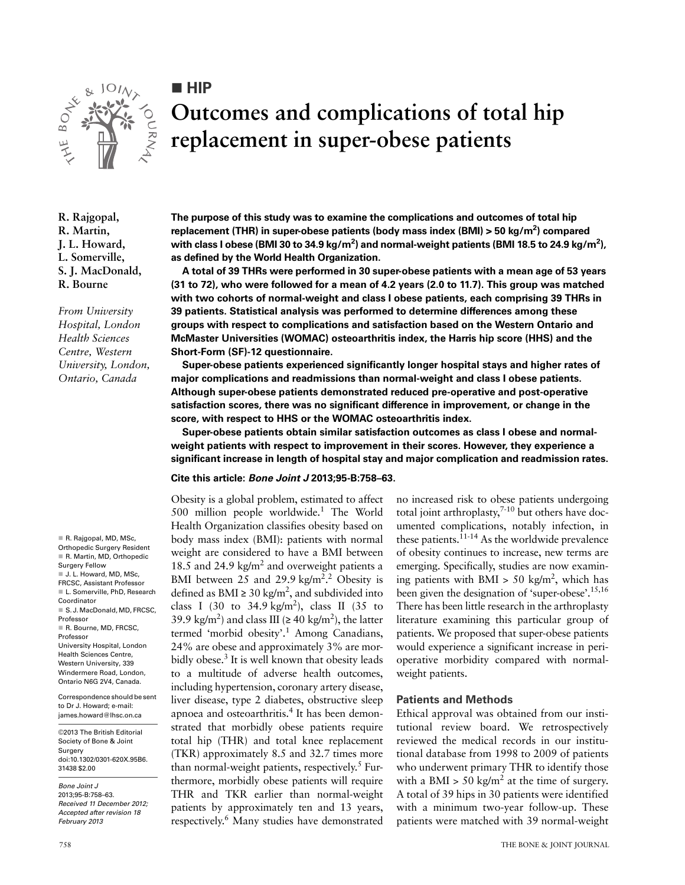

**HIP** 

# **Outcomes and complications of total hip replacement in super-obese patients**

**R. Rajgopal, R. Martin, J. L. Howard, L. Somerville, S. J. MacDonald, R. Bourne**

*From University Hospital, London Health Sciences Centre, Western University, London, Ontario, Canada*

R. Rajgopal, MD, MSc Orthopedic Surgery Resident R. Martin, MD, Orthopedic Surgery Fellow ■ J. L. Howard, MD, MSc. FRCSC, Assistant Professor L. Somerville, PhD, Research Coordinator S.J. MacDonald, MD, FRCSC, Professor R. Bourne, MD, FRCSC, Professor University Hospital, London Health Sciences Centre, Western University, 339 Windermere Road, London, Ontario N6G 2V4, Canada.

Correspondence should be sent to Dr J. Howard; e-mail: james.howard@lhsc.on.ca

©2013 The British Editorial Society of Bone & Joint **Surgery** doi:10.1302/0301-620X.95B6. 31438 \$2.00

*Bone Joint J* 2013;95-B:758–63. *Received 11 December 2012; Accepted after revision 18 February 2013*

**The purpose of this study was to examine the complications and outcomes of total hip**  replacement (THR) in super-obese patients (body mass index (BMI) > 50 kg/m<sup>2</sup>) compared with class I obese (BMI 30 to 34.9 kg/m<sup>2</sup>) and normal-weight patients (BMI 18.5 to 24.9 kg/m<sup>2</sup>), **as defined by the World Health Organization.**

**A total of 39 THRs were performed in 30 super-obese patients with a mean age of 53 years (31 to 72), who were followed for a mean of 4.2 years (2.0 to 11.7). This group was matched with two cohorts of normal-weight and class I obese patients, each comprising 39 THRs in 39 patients. Statistical analysis was performed to determine differences among these groups with respect to complications and satisfaction based on the Western Ontario and McMaster Universities (WOMAC) osteoarthritis index, the Harris hip score (HHS) and the Short-Form (SF)-12 questionnaire.**

**Super-obese patients experienced significantly longer hospital stays and higher rates of major complications and readmissions than normal-weight and class I obese patients. Although super-obese patients demonstrated reduced pre-operative and post-operative satisfaction scores, there was no significant difference in improvement, or change in the score, with respect to HHS or the WOMAC osteoarthritis index.**

**Super-obese patients obtain similar satisfaction outcomes as class I obese and normalweight patients with respect to improvement in their scores. However, they experience a significant increase in length of hospital stay and major complication and readmission rates.**

### **Cite this article:** *Bone Joint J* **2013;95-B:758–63.**

Obesity is a global problem, estimated to affect 500 million people worldwide.<sup>1</sup> The World Health Organization classifies obesity based on body mass index (BMI): patients with normal weight are considered to have a BMI between 18.5 and 24.9 kg/ $m^2$  and overweight patients a BMI between 25 and 29.9 kg/m<sup>2,2</sup> Obesity is defined as BMI  $\geq 30 \text{ kg/m}^2$ , and subdivided into class I (30 to 34.9 kg/m<sup>2</sup>), class II (35 to 39.9 kg/m<sup>2</sup>) and class III ( $\geq$  40 kg/m<sup>2</sup>), the latter termed 'morbid obesity'.<sup>1</sup> Among Canadians, 24% are obese and approximately 3% are morbidly obese.<sup>3</sup> It is well known that obesity leads to a multitude of adverse health outcomes, including hypertension, coronary artery disease, liver disease, type 2 diabetes, obstructive sleep apnoea and osteoarthritis.<sup>4</sup> It has been demonstrated that morbidly obese patients require total hip (THR) and total knee replacement (TKR) approximately 8.5 and 32.7 times more than normal-weight patients, respectively.<sup>5</sup> Furthermore, morbidly obese patients will require THR and TKR earlier than normal-weight patients by approximately ten and 13 years, respectively.<sup>6</sup> Many studies have demonstrated no increased risk to obese patients undergoing total joint arthroplasty, $7-10$  but others have documented complications, notably infection, in these patients.11-14 As the worldwide prevalence of obesity continues to increase, new terms are emerging. Specifically, studies are now examining patients with BMI > 50 kg/m<sup>2</sup>, which has been given the designation of 'super-obese'.15,16 There has been little research in the arthroplasty literature examining this particular group of patients. We proposed that super-obese patients would experience a significant increase in perioperative morbidity compared with normalweight patients.

## **Patients and Methods**

Ethical approval was obtained from our institutional review board. We retrospectively reviewed the medical records in our institutional database from 1998 to 2009 of patients who underwent primary THR to identify those with a BMI > 50 kg/m<sup>2</sup> at the time of surgery. A total of 39 hips in 30 patients were identified with a minimum two-year follow-up. These patients were matched with 39 normal-weight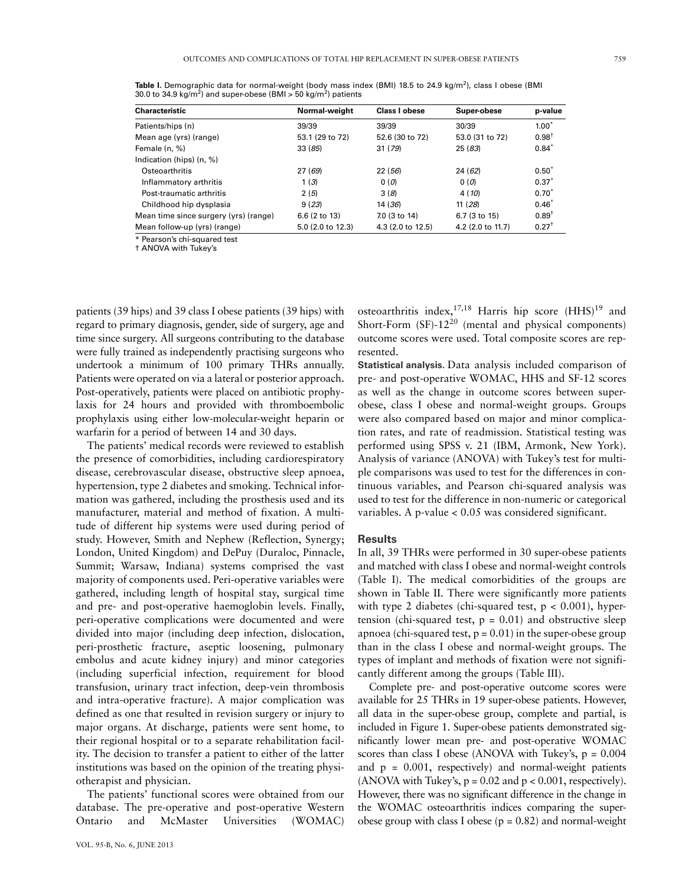| <b>Characteristic</b>                 | Normal-weight     | Class I obese     | Super-obese       | p-value          |
|---------------------------------------|-------------------|-------------------|-------------------|------------------|
| Patients/hips (n)                     | 39/39             | 39/39             | 30/39             | $1.00*$          |
| Mean age (yrs) (range)                | 53.1 (29 to 72)   | 52.6 (30 to 72)   | 53.0 (31 to 72)   | $0.98^+$         |
| Female $(n, %)$                       | 33(85)            | 31(79)            | 25 (83)           | $0.84*$          |
| Indication (hips) (n, %)              |                   |                   |                   |                  |
| Osteoarthritis                        | 27(69)            | 22 (56)           | 24(62)            | $0.50^{*}$       |
| Inflammatory arthritis                | 1(3)              | 0(0)              | 0(0)              | $0.37*$          |
| Post-traumatic arthritis              | 2(5)              | 3(8)              | 4 (10)            | $0.70^{*}$       |
| Childhood hip dysplasia               | 9(23)             | 14 (36)           | 11(28)            | $0.46^{*}$       |
| Mean time since surgery (yrs) (range) | 6.6 (2 to 13)     | 7.0 (3 to 14)     | 6.7 (3 to 15)     | $0.89^{+}$       |
| Mean follow-up (yrs) (range)          | 5.0 (2.0 to 12.3) | 4.3 (2.0 to 12.5) | 4.2 (2.0 to 11.7) | $0.27^{\dagger}$ |

Table I. Demographic data for normal-weight (body mass index (BMI) 18.5 to 24.9 kg/m<sup>2</sup>), class I obese (BMI 30.0 to 34.9 kg/m<sup>2</sup>) and super-obese (BMI > 50 kg/m<sup>2</sup>) patients

\* Pearson's chi-squared test † ANOVA with Tukey's

patients (39 hips) and 39 class I obese patients (39 hips) with regard to primary diagnosis, gender, side of surgery, age and time since surgery. All surgeons contributing to the database were fully trained as independently practising surgeons who undertook a minimum of 100 primary THRs annually. Patients were operated on via a lateral or posterior approach. Post-operatively, patients were placed on antibiotic prophylaxis for 24 hours and provided with thromboembolic prophylaxis using either low-molecular-weight heparin or warfarin for a period of between 14 and 30 days.

The patients' medical records were reviewed to establish the presence of comorbidities, including cardiorespiratory disease, cerebrovascular disease, obstructive sleep apnoea, hypertension, type 2 diabetes and smoking. Technical information was gathered, including the prosthesis used and its manufacturer, material and method of fixation. A multitude of different hip systems were used during period of study. However, Smith and Nephew (Reflection, Synergy; London, United Kingdom) and DePuy (Duraloc, Pinnacle, Summit; Warsaw, Indiana) systems comprised the vast majority of components used. Peri-operative variables were gathered, including length of hospital stay, surgical time and pre- and post-operative haemoglobin levels. Finally, peri-operative complications were documented and were divided into major (including deep infection, dislocation, peri-prosthetic fracture, aseptic loosening, pulmonary embolus and acute kidney injury) and minor categories (including superficial infection, requirement for blood transfusion, urinary tract infection, deep-vein thrombosis and intra-operative fracture). A major complication was defined as one that resulted in revision surgery or injury to major organs. At discharge, patients were sent home, to their regional hospital or to a separate rehabilitation facility. The decision to transfer a patient to either of the latter institutions was based on the opinion of the treating physiotherapist and physician.

The patients' functional scores were obtained from our database. The pre-operative and post-operative Western Ontario and McMaster Universities (WOMAC)

osteoarthritis index,  $17,18$  Harris hip score (HHS)<sup>19</sup> and Short-Form  $(SF)$ -12<sup>20</sup> (mental and physical components) outcome scores were used. Total composite scores are represented.

**Statistical analysis.** Data analysis included comparison of pre- and post-operative WOMAC, HHS and SF-12 scores as well as the change in outcome scores between superobese, class I obese and normal-weight groups. Groups were also compared based on major and minor complication rates, and rate of readmission. Statistical testing was performed using SPSS v. 21 (IBM, Armonk, New York). Analysis of variance (ANOVA) with Tukey's test for multiple comparisons was used to test for the differences in continuous variables, and Pearson chi-squared analysis was used to test for the difference in non-numeric or categorical variables. A p-value < 0.05 was considered significant.

#### **Results**

In all, 39 THRs were performed in 30 super-obese patients and matched with class I obese and normal-weight controls (Table I). The medical comorbidities of the groups are shown in Table II. There were significantly more patients with type 2 diabetes (chi-squared test,  $p < 0.001$ ), hypertension (chi-squared test,  $p = 0.01$ ) and obstructive sleep apnoea (chi-squared test,  $p = 0.01$ ) in the super-obese group than in the class I obese and normal-weight groups. The types of implant and methods of fixation were not significantly different among the groups (Table III).

Complete pre- and post-operative outcome scores were available for 25 THRs in 19 super-obese patients. However, all data in the super-obese group, complete and partial, is included in Figure 1. Super-obese patients demonstrated significantly lower mean pre- and post-operative WOMAC scores than class I obese (ANOVA with Tukey's,  $p = 0.004$ and  $p = 0.001$ , respectively) and normal-weight patients (ANOVA with Tukey's,  $p = 0.02$  and  $p < 0.001$ , respectively). However, there was no significant difference in the change in the WOMAC osteoarthritis indices comparing the superobese group with class I obese ( $p = 0.82$ ) and normal-weight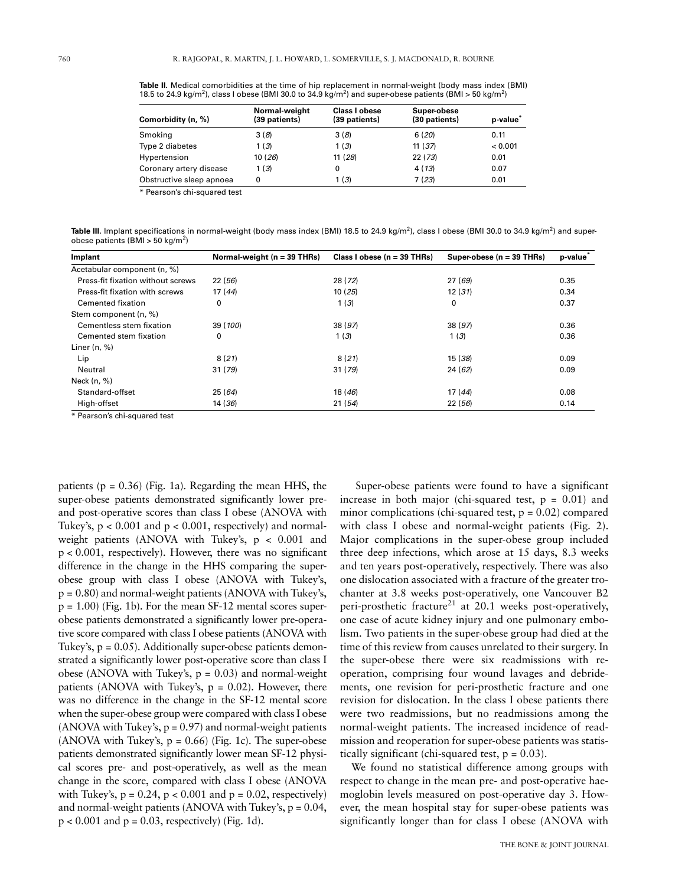**Table II.** Medical comorbidities at the time of hip replacement in normal-weight (body mass index (BMI) 18.5 to 24.9 kg/m<sup>2</sup>), class I obese (BMI 30.0 to 34.9 kg/m<sup>2</sup>) and super-obese patients (BMI > 50 kg/m<sup>2</sup>)

| Comorbidity (n, %)       | Normal-weight<br>(39 patients) | <b>Class I obese</b><br>(39 patients) | Super-obese<br>(30 patients) | p-value |
|--------------------------|--------------------------------|---------------------------------------|------------------------------|---------|
| Smoking                  | 3(8)                           | 3(8)                                  | 6(20)                        | 0.11    |
| Type 2 diabetes          | 1(3)                           | 1(3)                                  | 11(37)                       | < 0.001 |
| Hypertension             | 10(26)                         | 11(28)                                | 22(73)                       | 0.01    |
| Coronary artery disease  | 1(3)                           | 0                                     | 4(13)                        | 0.07    |
| Obstructive sleep apnoea | 0                              | 1(3)                                  | 7(23)                        | 0.01    |

\* Pearson's chi-squared test

**Table III.** Implant specifications in normal-weight (body mass index (BMI) 18.5 to 24.9 kg/m<sup>2</sup>), class I obese (BMI 30.0 to 34.9 kg/m<sup>2</sup>) and superobese patients (BMI > 50 kg/m<sup>2</sup>)

| Implant                               | Normal-weight ( $n = 39$ THRs) | Class I obese $(n = 39$ THRs) | Super-obese $(n = 39$ THRs) | p-value |
|---------------------------------------|--------------------------------|-------------------------------|-----------------------------|---------|
| Acetabular component (n, %)           |                                |                               |                             |         |
| Press-fit fixation without screws     | 22(56)                         | 28 (72)                       | 27(69)                      | 0.35    |
| <b>Press-fit fixation with screws</b> | 17(44)                         | 10(25)                        | 12(31)                      | 0.34    |
| Cemented fixation                     | 0                              | 1(3)                          | 0                           | 0.37    |
| Stem component (n, %)                 |                                |                               |                             |         |
| Cementless stem fixation              | 39 (100)                       | 38 (97)                       | 38 (97)                     | 0.36    |
| Cemented stem fixation                | 0                              | 1(3)                          | 1(3)                        | 0.36    |
| Liner $(n, %)$                        |                                |                               |                             |         |
| Lip                                   | 8(21)                          | 8(21)                         | 15 (38)                     | 0.09    |
| Neutral                               | 31(79)                         | 31 (79)                       | 24(62)                      | 0.09    |
| Neck $(n, %)$                         |                                |                               |                             |         |
| Standard-offset                       | 25(64)                         | 18(46)                        | 17(44)                      | 0.08    |
| High-offset                           | 14 (36)                        | 21(54)                        | 22(56)                      | 0.14    |

\* Pearson's chi-squared test

patients ( $p = 0.36$ ) (Fig. 1a). Regarding the mean HHS, the super-obese patients demonstrated significantly lower preand post-operative scores than class I obese (ANOVA with Tukey's,  $p < 0.001$  and  $p < 0.001$ , respectively) and normalweight patients (ANOVA with Tukey's, p < 0.001 and p < 0.001, respectively). However, there was no significant difference in the change in the HHS comparing the superobese group with class I obese (ANOVA with Tukey's,  $p = 0.80$ ) and normal-weight patients (ANOVA with Tukey's,  $p = 1.00$ ) (Fig. 1b). For the mean SF-12 mental scores superobese patients demonstrated a significantly lower pre-operative score compared with class I obese patients (ANOVA with Tukey's,  $p = 0.05$ ). Additionally super-obese patients demonstrated a significantly lower post-operative score than class I obese (ANOVA with Tukey's,  $p = 0.03$ ) and normal-weight patients (ANOVA with Tukey's,  $p = 0.02$ ). However, there was no difference in the change in the SF-12 mental score when the super-obese group were compared with class I obese  $(ANOVA with Tukey's, p = 0.97)$  and normal-weight patients (ANOVA with Tukey's,  $p = 0.66$ ) (Fig. 1c). The super-obese patients demonstrated significantly lower mean SF-12 physical scores pre- and post-operatively, as well as the mean change in the score, compared with class I obese (ANOVA with Tukey's,  $p = 0.24$ ,  $p < 0.001$  and  $p = 0.02$ , respectively) and normal-weight patients (ANOVA with Tukey's,  $p = 0.04$ ,  $p < 0.001$  and  $p = 0.03$ , respectively) (Fig. 1d).

 Super-obese patients were found to have a significant increase in both major (chi-squared test,  $p = 0.01$ ) and minor complications (chi-squared test,  $p = 0.02$ ) compared with class I obese and normal-weight patients (Fig. 2). Major complications in the super-obese group included three deep infections, which arose at 15 days, 8.3 weeks and ten years post-operatively, respectively. There was also one dislocation associated with a fracture of the greater trochanter at 3.8 weeks post-operatively, one Vancouver B2 peri-prosthetic fracture<sup>21</sup> at 20.1 weeks post-operatively, one case of acute kidney injury and one pulmonary embolism. Two patients in the super-obese group had died at the time of this review from causes unrelated to their surgery. In the super-obese there were six readmissions with reoperation, comprising four wound lavages and debridements, one revision for peri-prosthetic fracture and one revision for dislocation. In the class I obese patients there were two readmissions, but no readmissions among the normal-weight patients. The increased incidence of readmission and reoperation for super-obese patients was statistically significant (chi-squared test,  $p = 0.03$ ).

We found no statistical difference among groups with respect to change in the mean pre- and post-operative haemoglobin levels measured on post-operative day 3. However, the mean hospital stay for super-obese patients was significantly longer than for class I obese (ANOVA with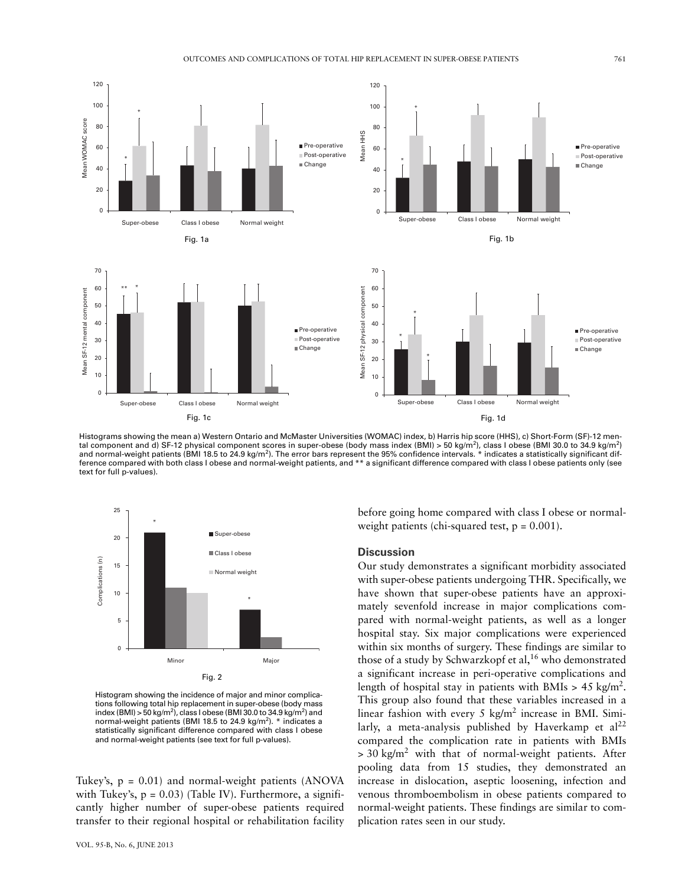

Histograms showing the mean a) Western Ontario and McMaster Universities (WOMAC) index, b) Harris hip score (HHS), c) Short-Form (SF)-12 mental component and d) SF-12 physical component scores in super-obese (body mass index (BMI) > 50 kg/m²), class I obese (BMI 30.0 to 34.9 kg/m²)<br>and normal-weight patients (BMI 18.5 to 24.9 kg/m²). The error bars represent t ference compared with both class I obese and normal-weight patients, and \*\* a significant difference compared with class I obese patients only (see text for full p-values).



Histogram showing the incidence of major and minor complications following total hip replacement in super-obese (body mass index (BMI) > 50 kg/m<sup>2</sup>), class I obese (BMI 30.0 to 34.9 kg/m<sup>2</sup>) and normal-weight patients (BMI 18.5 to 24.9 kg/m<sup>2</sup>).  $*$  indicates a statistically significant difference compared with class I obese and normal-weight patients (see text for full p-values).

Tukey's,  $p = 0.01$ ) and normal-weight patients (ANOVA with Tukey's,  $p = 0.03$ ) (Table IV). Furthermore, a significantly higher number of super-obese patients required transfer to their regional hospital or rehabilitation facility

before going home compared with class I obese or normalweight patients (chi-squared test,  $p = 0.001$ ).

#### **Discussion**

Our study demonstrates a significant morbidity associated with super-obese patients undergoing THR. Specifically, we have shown that super-obese patients have an approximately sevenfold increase in major complications compared with normal-weight patients, as well as a longer hospital stay. Six major complications were experienced within six months of surgery. These findings are similar to those of a study by Schwarzkopf et al,<sup>16</sup> who demonstrated a significant increase in peri-operative complications and length of hospital stay in patients with BMIs >  $45 \text{ kg/m}^2$ . This group also found that these variables increased in a linear fashion with every 5 kg/m<sup>2</sup> increase in BMI. Similarly, a meta-analysis published by Haverkamp et  $al^{22}$ compared the complication rate in patients with BMIs  $>$  30 kg/m<sup>2</sup> with that of normal-weight patients. After pooling data from 15 studies, they demonstrated an increase in dislocation, aseptic loosening, infection and venous thromboembolism in obese patients compared to normal-weight patients. These findings are similar to complication rates seen in our study.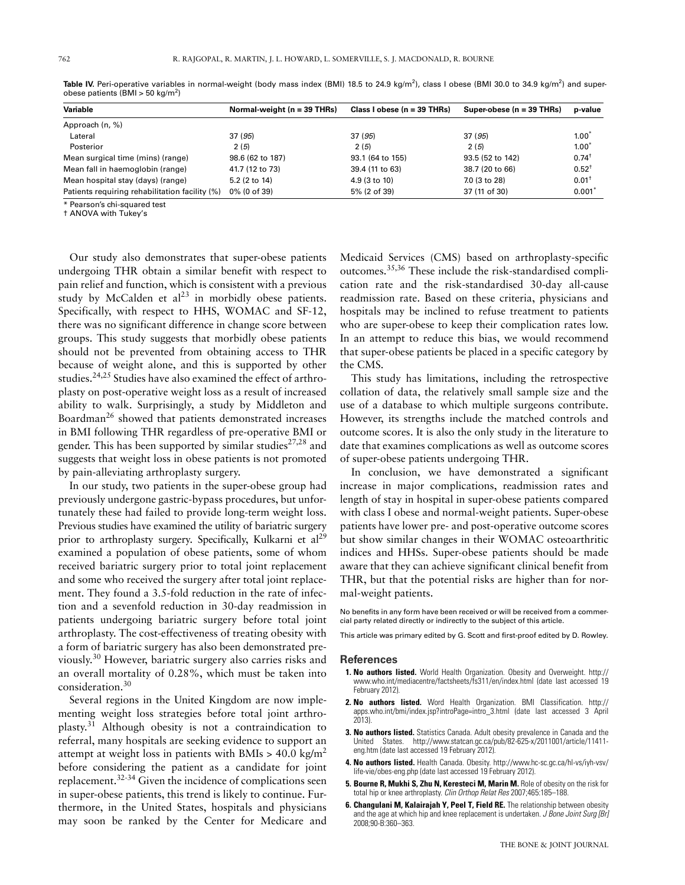| Variable                                       | Normal-weight ( $n = 39$ THRs) | Class I obese $(n = 39$ THRs) | Super-obese $(n = 39$ THRs) | p-value          |
|------------------------------------------------|--------------------------------|-------------------------------|-----------------------------|------------------|
| Approach (n, %)                                |                                |                               |                             |                  |
| Lateral                                        | 37 (95)                        | 37(95)                        | 37(95)                      | $1.00^*$         |
| Posterior                                      | 2(5)                           | 2(5)                          | 2(5)                        | $1.00*$          |
| Mean surgical time (mins) (range)              | 98.6 (62 to 187)               | 93.1 (64 to 155)              | 93.5 (52 to 142)            | $0.74^{\dagger}$ |
| Mean fall in haemoglobin (range)               | 41.7 (12 to 73)                | 39.4 (11 to 63)               | 38.7 (20 to 66)             | $0.52^{+}$       |
| Mean hospital stay (days) (range)              | 5.2 $(2 \text{ to } 14)$       | 4.9 (3 to 10)                 | 7.0 (3 to 28)               | $0.01^+$         |
| Patients requiring rehabilitation facility (%) | 0% (0 of 39)                   | 5% (2 of 39)                  | 37 (11 of 30)               | 0.001'           |

Table IV. Peri-operative variables in normal-weight (body mass index (BMI) 18.5 to 24.9 kg/m<sup>2</sup>), class I obese (BMI 30.0 to 34.9 kg/m<sup>2</sup>) and superobese patients (BMI > 50 kg/m<sup>2</sup>)

\* Pearson's chi-squared test

† ANOVA with Tukey's

Our study also demonstrates that super-obese patients undergoing THR obtain a similar benefit with respect to pain relief and function, which is consistent with a previous study by McCalden et  $al^{23}$  in morbidly obese patients. Specifically, with respect to HHS, WOMAC and SF-12, there was no significant difference in change score between groups. This study suggests that morbidly obese patients should not be prevented from obtaining access to THR because of weight alone, and this is supported by other studies.<sup>24,25</sup> Studies have also examined the effect of arthroplasty on post-operative weight loss as a result of increased ability to walk. Surprisingly, a study by Middleton and Boardman<sup>26</sup> showed that patients demonstrated increases in BMI following THR regardless of pre-operative BMI or gender. This has been supported by similar studies<sup>27,28</sup> and suggests that weight loss in obese patients is not promoted by pain-alleviating arthroplasty surgery.

In our study, two patients in the super-obese group had previously undergone gastric-bypass procedures, but unfortunately these had failed to provide long-term weight loss. Previous studies have examined the utility of bariatric surgery prior to arthroplasty surgery. Specifically, Kulkarni et  $al^{29}$ examined a population of obese patients, some of whom received bariatric surgery prior to total joint replacement and some who received the surgery after total joint replacement. They found a 3.5-fold reduction in the rate of infection and a sevenfold reduction in 30-day readmission in patients undergoing bariatric surgery before total joint arthroplasty. The cost-effectiveness of treating obesity with a form of bariatric surgery has also been demonstrated previously.30 However, bariatric surgery also carries risks and an overall mortality of 0.28%, which must be taken into consideration.30

Several regions in the United Kingdom are now implementing weight loss strategies before total joint arthroplasty.31 Although obesity is not a contraindication to referral, many hospitals are seeking evidence to support an attempt at weight loss in patients with BMIs  $> 40.0 \text{ kg/m}^2$ before considering the patient as a candidate for joint replacement.32-34 Given the incidence of complications seen in super-obese patients, this trend is likely to continue. Furthermore, in the United States, hospitals and physicians may soon be ranked by the Center for Medicare and Medicaid Services (CMS) based on arthroplasty-specific outcomes.35,36 These include the risk-standardised complication rate and the risk-standardised 30-day all-cause readmission rate. Based on these criteria, physicians and hospitals may be inclined to refuse treatment to patients who are super-obese to keep their complication rates low. In an attempt to reduce this bias, we would recommend that super-obese patients be placed in a specific category by the CMS.

This study has limitations, including the retrospective collation of data, the relatively small sample size and the use of a database to which multiple surgeons contribute. However, its strengths include the matched controls and outcome scores. It is also the only study in the literature to date that examines complications as well as outcome scores of super-obese patients undergoing THR.

In conclusion, we have demonstrated a significant increase in major complications, readmission rates and length of stay in hospital in super-obese patients compared with class I obese and normal-weight patients. Super-obese patients have lower pre- and post-operative outcome scores but show similar changes in their WOMAC osteoarthritic indices and HHSs. Super-obese patients should be made aware that they can achieve significant clinical benefit from THR, but that the potential risks are higher than for normal-weight patients.

No benefits in any form have been received or will be received from a commercial party related directly or indirectly to the subject of this article.

This article was primary edited by G. Scott and first-proof edited by D. Rowley.

#### **References**

- **1. No authors listed.** World Health Organization. Obesity and Overweight. http:// www.who.int/mediacentre/factsheets/fs311/en/index.html (date last accessed 19 February 2012).
- **2. No authors listed.** Word Health Organization. BMI Classification. http:// apps.who.int/bmi/index.jsp?introPage=intro\_3.html (date last accessed 3 April 2013).
- **3. No authors listed.** Statistics Canada. Adult obesity prevalence in Canada and the United States. http://www.statcan.gc.ca/pub/82-625-x/2011001/article/11411 eng.htm (date last accessed 19 February 2012).
- **4. No authors listed.** Health Canada. Obesity. http://www.hc-sc.gc.ca/hl-vs/iyh-vsv/ life-vie/obes-eng.php (date last accessed 19 February 2012).
- **5. Bourne R, Mukhi S, Zhu N, Keresteci M, Marin M.** Role of obesity on the risk for total hip or knee arthroplasty. *Clin Orthop Relat Res* 2007;465:185–188.
- **6. Changulani M, Kalairajah Y, Peel T, Field RE.** The relationship between obesity and the age at which hip and knee replacement is undertaken. *J Bone Joint Surg [Br]* 2008;90-B:360–363.